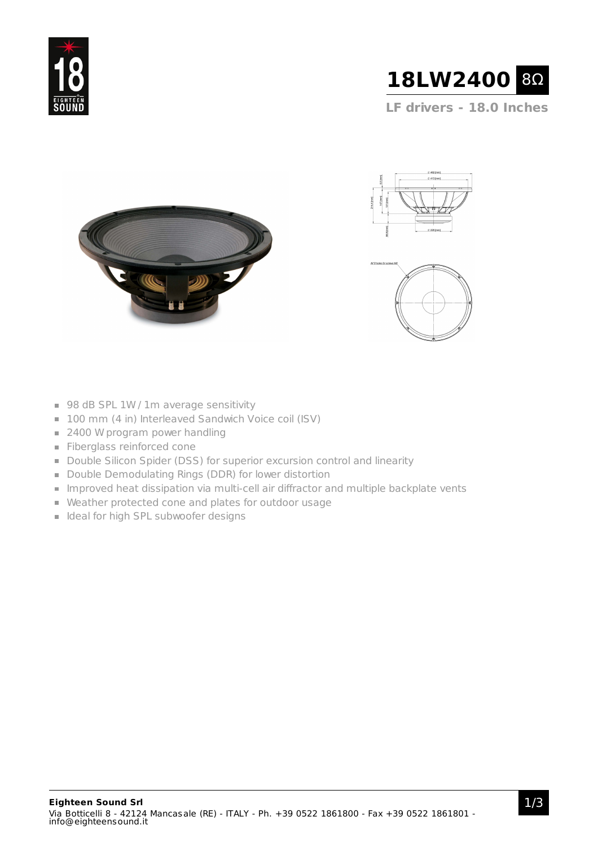



**LF drivers - 18.0 Inches**







- 98 dB SPL 1W / 1m average sensitivity
- 100 mm (4 in) Interleaved Sandwich Voice coil (ISV)
- 2400 W program power handling
- Fiberglass reinforced cone
- Double Silicon Spider (DSS) for superior excursion control and linearity
- Double Demodulating Rings (DDR) for lower distortion
- **Improved heat dissipation via multi-cell air diffractor and multiple backplate vents**
- Weather protected cone and plates for outdoor usage
- I Ideal for high SPL subwoofer designs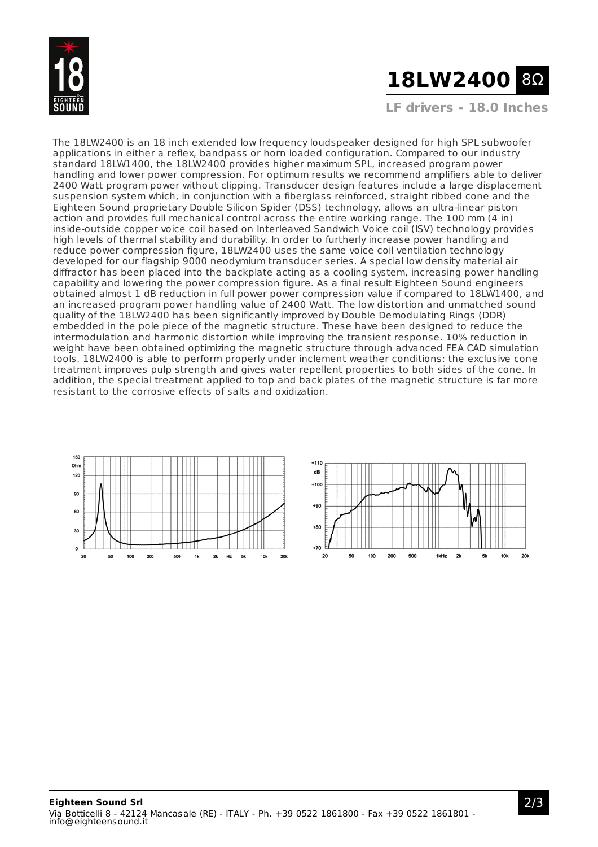

# **18LW2400** 8Ω

**LF drivers - 18.0 Inches**

The 18LW2400 is an 18 inch extended low frequency loudspeaker designed for high SPL subwoofer applications in either a reflex, bandpass or horn loaded configuration. Compared to our industry standard 18LW1400, the 18LW2400 provides higher maximum SPL, increased program power handling and lower power compression. For optimum results we recommend amplifiers able to deliver 2400 Watt program power without clipping. Transducer design features include a large displacement suspension system which, in conjunction with a fiberglass reinforced, straight ribbed cone and the Eighteen Sound proprietary Double Silicon Spider (DSS) technology, allows an ultra-linear piston action and provides full mechanical control across the entire working range. The 100 mm (4 in) inside-outside copper voice coil based on Interleaved Sandwich Voice coil (ISV) technology provides high levels of thermal stability and durability. In order to furtherly increase power handling and reduce power compression figure, 18LW2400 uses the same voice coil ventilation technology developed for our flagship 9000 neodymium transducer series. A special low density material air diffractor has been placed into the backplate acting as a cooling system, increasing power handling capability and lowering the power compression figure. As a final result Eighteen Sound engineers obtained almost 1 dB reduction in full power power compression value if compared to 18LW1400, and an increased program power handling value of 2400 Watt. The low distortion and unmatched sound quality of the 18LW2400 has been significantly improved by Double Demodulating Rings (DDR) embedded in the pole piece of the magnetic structure. These have been designed to reduce the intermodulation and harmonic distortion while improving the transient response. 10% reduction in weight have been obtained optimizing the magnetic structure through advanced FEA CAD simulation tools. 18LW2400 is able to perform properly under inclement weather conditions: the exclusive cone treatment improves pulp strength and gives water repellent properties to both sides of the cone. In addition, the special treatment applied to top and back plates of the magnetic structure is far more resistant to the corrosive effects of salts and oxidization.